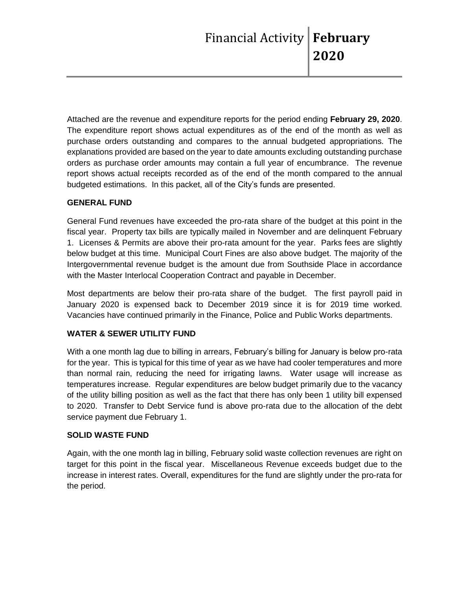Attached are the revenue and expenditure reports for the period ending **February 29, 2020**. The expenditure report shows actual expenditures as of the end of the month as well as purchase orders outstanding and compares to the annual budgeted appropriations. The explanations provided are based on the year to date amounts excluding outstanding purchase orders as purchase order amounts may contain a full year of encumbrance. The revenue report shows actual receipts recorded as of the end of the month compared to the annual budgeted estimations. In this packet, all of the City's funds are presented.

# **GENERAL FUND**

General Fund revenues have exceeded the pro-rata share of the budget at this point in the fiscal year. Property tax bills are typically mailed in November and are delinquent February 1. Licenses & Permits are above their pro-rata amount for the year. Parks fees are slightly below budget at this time. Municipal Court Fines are also above budget. The majority of the Intergovernmental revenue budget is the amount due from Southside Place in accordance with the Master Interlocal Cooperation Contract and payable in December.

Most departments are below their pro-rata share of the budget. The first payroll paid in January 2020 is expensed back to December 2019 since it is for 2019 time worked. Vacancies have continued primarily in the Finance, Police and Public Works departments.

# **WATER & SEWER UTILITY FUND**

With a one month lag due to billing in arrears, February's billing for January is below pro-rata for the year. This is typical for this time of year as we have had cooler temperatures and more than normal rain, reducing the need for irrigating lawns. Water usage will increase as temperatures increase. Regular expenditures are below budget primarily due to the vacancy of the utility billing position as well as the fact that there has only been 1 utility bill expensed to 2020. Transfer to Debt Service fund is above pro-rata due to the allocation of the debt service payment due February 1.

# **SOLID WASTE FUND**

Again, with the one month lag in billing, February solid waste collection revenues are right on target for this point in the fiscal year. Miscellaneous Revenue exceeds budget due to the increase in interest rates. Overall, expenditures for the fund are slightly under the pro-rata for the period.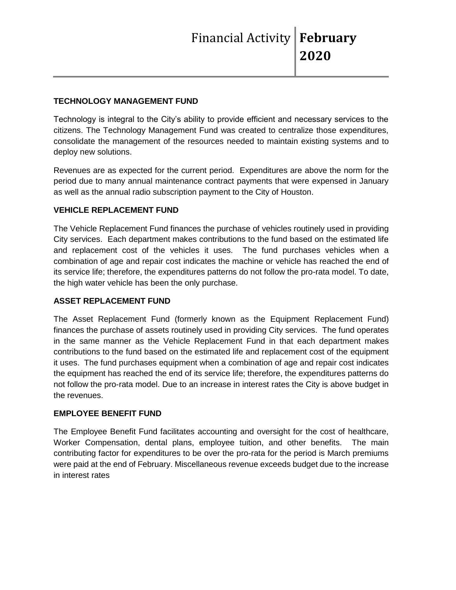## **TECHNOLOGY MANAGEMENT FUND**

Technology is integral to the City's ability to provide efficient and necessary services to the citizens. The Technology Management Fund was created to centralize those expenditures, consolidate the management of the resources needed to maintain existing systems and to deploy new solutions.

Revenues are as expected for the current period. Expenditures are above the norm for the period due to many annual maintenance contract payments that were expensed in January as well as the annual radio subscription payment to the City of Houston.

## **VEHICLE REPLACEMENT FUND**

The Vehicle Replacement Fund finances the purchase of vehicles routinely used in providing City services. Each department makes contributions to the fund based on the estimated life and replacement cost of the vehicles it uses. The fund purchases vehicles when a combination of age and repair cost indicates the machine or vehicle has reached the end of its service life; therefore, the expenditures patterns do not follow the pro-rata model. To date, the high water vehicle has been the only purchase.

### **ASSET REPLACEMENT FUND**

The Asset Replacement Fund (formerly known as the Equipment Replacement Fund) finances the purchase of assets routinely used in providing City services. The fund operates in the same manner as the Vehicle Replacement Fund in that each department makes contributions to the fund based on the estimated life and replacement cost of the equipment it uses. The fund purchases equipment when a combination of age and repair cost indicates the equipment has reached the end of its service life; therefore, the expenditures patterns do not follow the pro-rata model. Due to an increase in interest rates the City is above budget in the revenues.

# **EMPLOYEE BENEFIT FUND**

The Employee Benefit Fund facilitates accounting and oversight for the cost of healthcare, Worker Compensation, dental plans, employee tuition, and other benefits. The main contributing factor for expenditures to be over the pro-rata for the period is March premiums were paid at the end of February. Miscellaneous revenue exceeds budget due to the increase in interest rates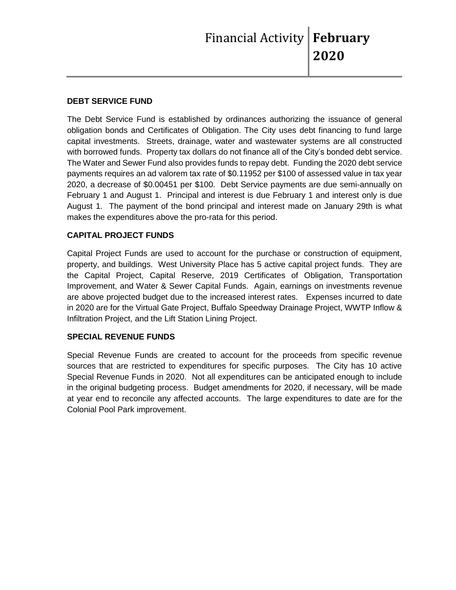## **DEBT SERVICE FUND**

The Debt Service Fund is established by ordinances authorizing the issuance of general obligation bonds and Certificates of Obligation. The City uses debt financing to fund large capital investments. Streets, drainage, water and wastewater systems are all constructed with borrowed funds. Property tax dollars do not finance all of the City's bonded debt service. The Water and Sewer Fund also provides funds to repay debt. Funding the 2020 debt service payments requires an ad valorem tax rate of \$0.11952 per \$100 of assessed value in tax year 2020, a decrease of \$0.00451 per \$100. Debt Service payments are due semi-annually on February 1 and August 1. Principal and interest is due February 1 and interest only is due August 1. The payment of the bond principal and interest made on January 29th is what makes the expenditures above the pro-rata for this period.

# **CAPITAL PROJECT FUNDS**

Capital Project Funds are used to account for the purchase or construction of equipment, property, and buildings. West University Place has 5 active capital project funds. They are the Capital Project, Capital Reserve, 2019 Certificates of Obligation, Transportation Improvement, and Water & Sewer Capital Funds. Again, earnings on investments revenue are above projected budget due to the increased interest rates. Expenses incurred to date in 2020 are for the Virtual Gate Project, Buffalo Speedway Drainage Project, WWTP Inflow & Infiltration Project, and the Lift Station Lining Project.

### **SPECIAL REVENUE FUNDS**

Special Revenue Funds are created to account for the proceeds from specific revenue sources that are restricted to expenditures for specific purposes. The City has 10 active Special Revenue Funds in 2020. Not all expenditures can be anticipated enough to include in the original budgeting process. Budget amendments for 2020, if necessary, will be made at year end to reconcile any affected accounts. The large expenditures to date are for the Colonial Pool Park improvement.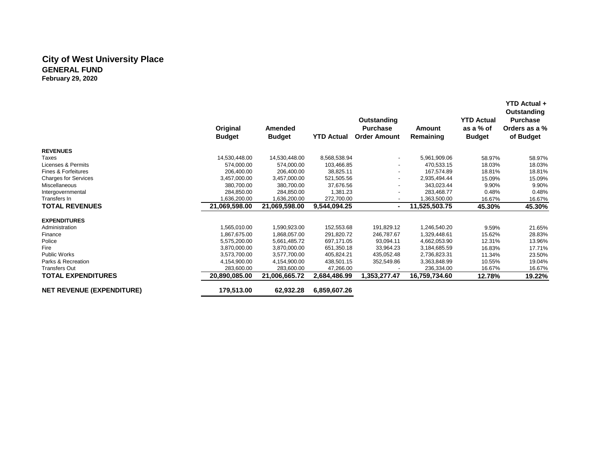### **City of West University Place GENERAL FUND February 29, 2020**

|                                  | Original<br><b>Budget</b> | Amended<br><b>Budget</b> | <b>YTD Actual</b> | Outstanding<br><b>Purchase</b><br><b>Order Amount</b> | Amount<br>Remaining | <b>YTD Actual</b><br>as a % of<br><b>Budget</b> | Outstanding<br><b>Purchase</b><br>Orders as a %<br>of Budget |
|----------------------------------|---------------------------|--------------------------|-------------------|-------------------------------------------------------|---------------------|-------------------------------------------------|--------------------------------------------------------------|
| <b>REVENUES</b>                  |                           |                          |                   |                                                       |                     |                                                 |                                                              |
| Taxes                            | 14,530,448.00             | 14,530,448.00            | 8,568,538.94      | $\sim$                                                | 5,961,909.06        | 58.97%                                          | 58.97%                                                       |
| Licenses & Permits               | 574,000.00                | 574,000.00               | 103,466.85        |                                                       | 470,533.15          | 18.03%                                          | 18.03%                                                       |
| Fines & Forfeitures              | 206.400.00                | 206.400.00               | 38.825.11         |                                                       | 167.574.89          | 18.81%                                          | 18.81%                                                       |
| <b>Charges for Services</b>      | 3,457,000.00              | 3,457,000.00             | 521,505.56        | $\overline{\phantom{a}}$                              | 2,935,494.44        | 15.09%                                          | 15.09%                                                       |
| Miscellaneous                    | 380,700.00                | 380,700.00               | 37,676.56         |                                                       | 343,023.44          | 9.90%                                           | 9.90%                                                        |
| Intergovernmental                | 284.850.00                | 284.850.00               | 1,381.23          |                                                       | 283.468.77          | 0.48%                                           | 0.48%                                                        |
| Transfers In                     | 1,636,200.00              | 1,636,200.00             | 272,700.00        |                                                       | 1,363,500.00        | 16.67%                                          | 16.67%                                                       |
| <b>TOTAL REVENUES</b>            | 21,069,598.00             | 21,069,598.00            | 9,544,094.25      | $\blacksquare$                                        | 11,525,503.75       | 45.30%                                          | 45.30%                                                       |
| <b>EXPENDITURES</b>              |                           |                          |                   |                                                       |                     |                                                 |                                                              |
| Administration                   | 1,565,010.00              | 1,590,923.00             | 152,553.68        | 191,829.12                                            | 1,246,540.20        | 9.59%                                           | 21.65%                                                       |
| Finance                          | 1.867.675.00              | 1,868,057.00             | 291,820.72        | 246,787.67                                            | 1,329,448.61        | 15.62%                                          | 28.83%                                                       |
| Police                           | 5,575,200.00              | 5,661,485.72             | 697,171.05        | 93,094.11                                             | 4,662,053.90        | 12.31%                                          | 13.96%                                                       |
| Fire                             | 3.870.000.00              | 3.870.000.00             | 651,350.18        | 33,964.23                                             | 3,184,685.59        | 16.83%                                          | 17.71%                                                       |
| <b>Public Works</b>              | 3,573,700.00              | 3,577,700.00             | 405,824.21        | 435,052.48                                            | 2,736,823.31        | 11.34%                                          | 23.50%                                                       |
| Parks & Recreation               | 4,154,900.00              | 4,154,900.00             | 438,501.15        | 352,549.86                                            | 3,363,848.99        | 10.55%                                          | 19.04%                                                       |
| <b>Transfers Out</b>             | 283,600.00                | 283,600.00               | 47,266.00         |                                                       | 236,334.00          | 16.67%                                          | 16.67%                                                       |
| <b>TOTAL EXPENDITURES</b>        | 20,890,085.00             | 21,006,665.72            | 2,684,486.99      | 1,353,277.47                                          | 16,759,734.60       | 12.78%                                          | 19.22%                                                       |
| <b>NET REVENUE (EXPENDITURE)</b> | 179,513.00                | 62,932.28                | 6,859,607.26      |                                                       |                     |                                                 |                                                              |

 **YTD Actual +**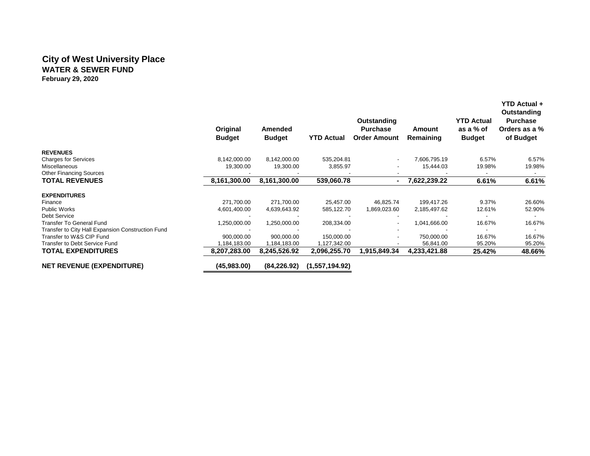### **City of West University Place WATER & SEWER FUND February 29, 2020**

|                                                   | Original<br><b>Budget</b> | Amended<br><b>Budget</b> | <b>YTD Actual</b> | Outstanding<br><b>Purchase</b><br><b>Order Amount</b> | Amount<br>Remaining | <b>YTD Actual</b><br>as a % of<br><b>Budget</b> | <b>YTD Actual +</b><br>Outstanding<br><b>Purchase</b><br>Orders as a %<br>of Budget |
|---------------------------------------------------|---------------------------|--------------------------|-------------------|-------------------------------------------------------|---------------------|-------------------------------------------------|-------------------------------------------------------------------------------------|
| <b>REVENUES</b>                                   |                           |                          |                   |                                                       |                     |                                                 |                                                                                     |
| <b>Charges for Services</b>                       | 8,142,000.00              | 8,142,000.00             | 535,204.81        |                                                       | 7,606,795.19        | 6.57%                                           | 6.57%                                                                               |
| Miscellaneous                                     | 19,300.00                 | 19,300.00                | 3,855.97          |                                                       | 15,444.03           | 19.98%                                          | 19.98%                                                                              |
| <b>Other Financing Sources</b>                    |                           |                          |                   |                                                       |                     |                                                 |                                                                                     |
| <b>TOTAL REVENUES</b>                             | 8,161,300.00              | 8,161,300.00             | 539,060.78        |                                                       | 7,622,239.22        | 6.61%                                           | 6.61%                                                                               |
| <b>EXPENDITURES</b>                               |                           |                          |                   |                                                       |                     |                                                 |                                                                                     |
| Finance                                           | 271,700.00                | 271,700.00               | 25,457.00         | 46,825.74                                             | 199,417.26          | 9.37%                                           | 26.60%                                                                              |
| <b>Public Works</b>                               | 4,601,400.00              | 4,639,643.92             | 585,122.70        | 1,869,023.60                                          | 2,185,497.62        | 12.61%                                          | 52.90%                                                                              |
| <b>Debt Service</b>                               |                           |                          |                   |                                                       |                     |                                                 |                                                                                     |
| <b>Transfer To General Fund</b>                   | 1,250,000.00              | 1,250,000.00             | 208,334.00        |                                                       | 1,041,666.00        | 16.67%                                          | 16.67%                                                                              |
| Transfer to City Hall Expansion Construction Fund |                           |                          |                   |                                                       |                     |                                                 |                                                                                     |
| Transfer to W&S CIP Fund                          | 900,000.00                | 900.000.00               | 150,000.00        |                                                       | 750,000.00          | 16.67%                                          | 16.67%                                                                              |
| Transfer to Debt Service Fund                     | .184,183.00               | 1,184,183.00             | 1,127,342.00      |                                                       | 56,841.00           | 95.20%                                          | 95.20%                                                                              |
| <b>TOTAL EXPENDITURES</b>                         | 8,207,283.00              | 8,245,526.92             | 2,096,255.70      | 1,915,849.34                                          | 4,233,421.88        | 25.42%                                          | 48.66%                                                                              |
| <b>NET REVENUE (EXPENDITURE)</b>                  | (45,983.00)               | (84, 226.92)             | (1,557,194.92)    |                                                       |                     |                                                 |                                                                                     |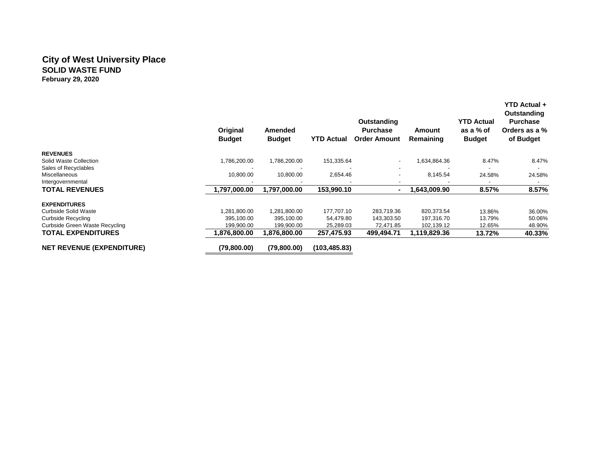### **City of West University Place SOLID WASTE FUND February 29, 2020**

|                                                | Original<br><b>Budget</b> | Amended<br><b>Budget</b> | <b>YTD Actual</b> | Outstanding<br><b>Purchase</b><br><b>Order Amount</b> | Amount<br>Remaining | <b>YTD Actual</b><br>as a % of<br><b>Budget</b> | YTD Actual +<br>Outstanding<br><b>Purchase</b><br>Orders as a %<br>of Budget |
|------------------------------------------------|---------------------------|--------------------------|-------------------|-------------------------------------------------------|---------------------|-------------------------------------------------|------------------------------------------------------------------------------|
| <b>REVENUES</b>                                |                           |                          |                   |                                                       |                     |                                                 |                                                                              |
| Solid Waste Collection<br>Sales of Recyclables | 1,786,200.00              | 1,786,200.00             | 151,335.64        | $\overline{\phantom{a}}$<br>$\overline{\phantom{a}}$  | 1,634,864.36        | 8.47%                                           | 8.47%                                                                        |
| <b>Miscellaneous</b>                           | 10,800.00                 | 10,800.00                | 2,654.46          | -                                                     | 8,145.54            | 24.58%                                          | 24.58%                                                                       |
| Intergovernmental                              |                           |                          |                   |                                                       |                     |                                                 |                                                                              |
| <b>TOTAL REVENUES</b>                          | 1,797,000.00              | 1,797,000.00             | 153,990.10        | $\blacksquare$                                        | 1,643,009.90        | 8.57%                                           | 8.57%                                                                        |
| <b>EXPENDITURES</b>                            |                           |                          |                   |                                                       |                     |                                                 |                                                                              |
| Curbside Solid Waste                           | 1,281,800.00              | 1,281,800.00             | 177,707.10        | 283,719.36                                            | 820,373.54          | 13.86%                                          | 36.00%                                                                       |
| <b>Curbside Recycling</b>                      | 395,100.00                | 395,100.00               | 54,479.80         | 143,303.50                                            | 197,316.70          | 13.79%                                          | 50.06%                                                                       |
| Curbside Green Waste Recycling                 | 199,900.00                | 199,900.00               | 25,289.03         | 72,471.85                                             | 102,139.12          | 12.65%                                          | 48.90%                                                                       |
| <b>TOTAL EXPENDITURES</b>                      | 1,876,800.00              | 1,876,800.00             | 257,475.93        | 499,494.71                                            | 1,119,829.36        | 13.72%                                          | 40.33%                                                                       |
| <b>NET REVENUE (EXPENDITURE)</b>               | (79,800.00)               | (79,800.00)              | (103, 485.83)     |                                                       |                     |                                                 |                                                                              |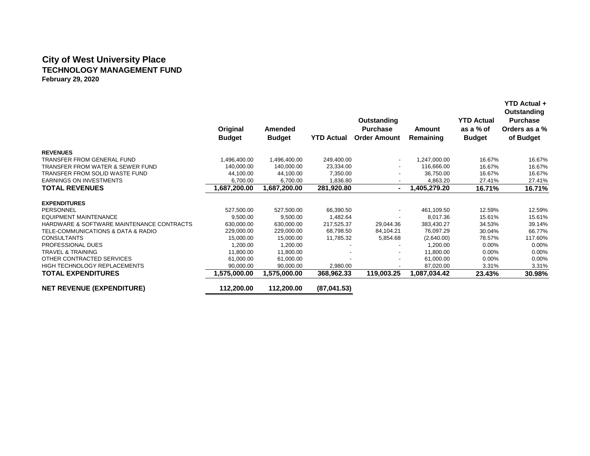### **City of West University Place TECHNOLOGY MANAGEMENT FUND February 29, 2020**

|                                           | Original<br><b>Budget</b> | Amended<br><b>Budget</b> | <b>YTD Actual</b> | Outstanding<br><b>Purchase</b><br><b>Order Amount</b> | Amount<br>Remaining | <b>YTD Actual</b><br>as a % of<br><b>Budget</b> | YTD Actual +<br>Outstanding<br><b>Purchase</b><br>Orders as a %<br>of Budget |
|-------------------------------------------|---------------------------|--------------------------|-------------------|-------------------------------------------------------|---------------------|-------------------------------------------------|------------------------------------------------------------------------------|
| <b>REVENUES</b>                           |                           |                          |                   |                                                       |                     |                                                 |                                                                              |
| TRANSFER FROM GENERAL FUND                | 1,496,400.00              | 1,496,400.00             | 249,400.00        | $\blacksquare$                                        | 1,247,000.00        | 16.67%                                          | 16.67%                                                                       |
| TRANSFER FROM WATER & SEWER FUND          | 140,000.00                | 140,000.00               | 23,334.00         |                                                       | 116,666.00          | 16.67%                                          | 16.67%                                                                       |
| TRANSFER FROM SOLID WASTE FUND            | 44,100.00                 | 44,100.00                | 7,350.00          |                                                       | 36,750.00           | 16.67%                                          | 16.67%                                                                       |
| <b>EARNINGS ON INVESTMENTS</b>            | 6,700.00                  | 6,700.00                 | 1,836.80          |                                                       | 4,863.20            | 27.41%                                          | 27.41%                                                                       |
| <b>TOTAL REVENUES</b>                     | 1,687,200.00              | 1,687,200.00             | 281,920.80        | $\blacksquare$                                        | 1,405,279.20        | 16.71%                                          | 16.71%                                                                       |
| <b>EXPENDITURES</b>                       |                           |                          |                   |                                                       |                     |                                                 |                                                                              |
| PERSONNEL                                 | 527,500.00                | 527,500.00               | 66,390.50         |                                                       | 461.109.50          | 12.59%                                          | 12.59%                                                                       |
| <b>EQUIPMENT MAINTENANCE</b>              | 9,500.00                  | 9,500.00                 | 1,482.64          |                                                       | 8,017.36            | 15.61%                                          | 15.61%                                                                       |
| HARDWARE & SOFTWARE MAINTENANCE CONTRACTS | 630,000.00                | 630,000.00               | 217,525.37        | 29,044.36                                             | 383,430.27          | 34.53%                                          | 39.14%                                                                       |
| TELE-COMMUNICATIONS & DATA & RADIO        | 229,000.00                | 229.000.00               | 68,798.50         | 84,104.21                                             | 76.097.29           | 30.04%                                          | 66.77%                                                                       |
| <b>CONSULTANTS</b>                        | 15,000.00                 | 15,000.00                | 11,785.32         | 5,854.68                                              | (2,640.00)          | 78.57%                                          | 117.60%                                                                      |
| PROFESSIONAL DUES                         | 1,200.00                  | 1,200.00                 |                   |                                                       | 1,200.00            | 0.00%                                           | 0.00%                                                                        |
| <b>TRAVEL &amp; TRAINING</b>              | 11.800.00                 | 11.800.00                |                   |                                                       | 11.800.00           | $0.00\%$                                        | 0.00%                                                                        |
| OTHER CONTRACTED SERVICES                 | 61,000.00                 | 61,000.00                |                   |                                                       | 61,000.00           | 0.00%                                           | 0.00%                                                                        |
| <b>HIGH TECHNOLOGY REPLACEMENTS</b>       | 90,000.00                 | 90,000.00                | 2,980.00          |                                                       | 87,020.00           | 3.31%                                           | 3.31%                                                                        |
| <b>TOTAL EXPENDITURES</b>                 | 1,575,000.00              | 1,575,000.00             | 368,962.33        | 119,003.25                                            | 1.087.034.42        | 23.43%                                          | 30.98%                                                                       |
| <b>NET REVENUE (EXPENDITURE)</b>          | 112,200.00                | 112,200.00               | (87,041.53)       |                                                       |                     |                                                 |                                                                              |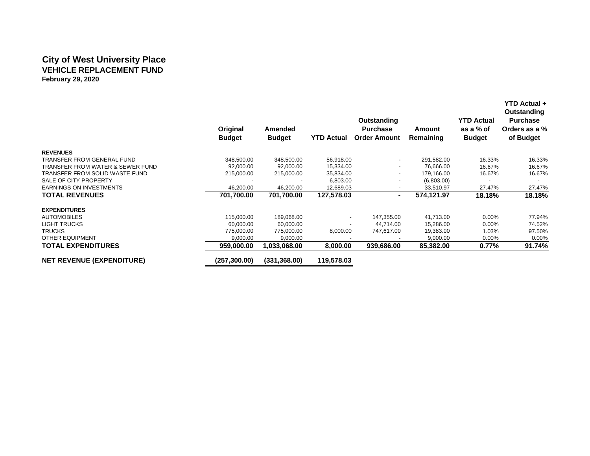### **City of West University Place VEHICLE REPLACEMENT FUND February 29, 2020**

|                                  | Original<br><b>Budget</b> | <b>Amended</b><br><b>Budget</b> | <b>YTD Actual</b> | Outstanding<br><b>Purchase</b><br><b>Order Amount</b> | Amount<br>Remaining | <b>YTD Actual</b><br>as a % of<br><b>Budget</b> | <b>YTD Actual +</b><br>Outstanding<br><b>Purchase</b><br>Orders as a %<br>of Budget |
|----------------------------------|---------------------------|---------------------------------|-------------------|-------------------------------------------------------|---------------------|-------------------------------------------------|-------------------------------------------------------------------------------------|
| <b>REVENUES</b>                  |                           |                                 |                   |                                                       |                     |                                                 |                                                                                     |
| TRANSFER FROM GENERAL FUND       | 348,500.00                | 348,500.00                      | 56,918.00         | $\overline{\phantom{a}}$                              | 291,582.00          | 16.33%                                          | 16.33%                                                                              |
| TRANSFER FROM WATER & SEWER FUND | 92,000.00                 | 92,000.00                       | 15,334.00         | $\overline{\phantom{a}}$                              | 76,666.00           | 16.67%                                          | 16.67%                                                                              |
| TRANSFER FROM SOLID WASTE FUND   | 215,000.00                | 215,000.00                      | 35,834.00         | ٠                                                     | 179,166.00          | 16.67%                                          | 16.67%                                                                              |
| SALE OF CITY PROPERTY            |                           |                                 | 6,803.00          |                                                       | (6,803.00)          |                                                 |                                                                                     |
| <b>EARNINGS ON INVESTMENTS</b>   | 46,200.00                 | 46,200.00                       | 12,689.03         |                                                       | 33,510.97           | 27.47%                                          | 27.47%                                                                              |
| <b>TOTAL REVENUES</b>            | 701,700.00                | 701,700.00                      | 127,578.03        | $\blacksquare$                                        | 574,121.97          | 18.18%                                          | 18.18%                                                                              |
| <b>EXPENDITURES</b>              |                           |                                 |                   |                                                       |                     |                                                 |                                                                                     |
| <b>AUTOMOBILES</b>               | 115,000.00                | 189,068.00                      | $\blacksquare$    | 147,355.00                                            | 41,713.00           | $0.00\%$                                        | 77.94%                                                                              |
| <b>LIGHT TRUCKS</b>              | 60,000.00                 | 60,000.00                       |                   | 44,714.00                                             | 15,286.00           | $0.00\%$                                        | 74.52%                                                                              |
| <b>TRUCKS</b>                    | 775,000.00                | 775,000.00                      | 8,000.00          | 747,617.00                                            | 19,383.00           | 1.03%                                           | 97.50%                                                                              |
| <b>OTHER EQUIPMENT</b>           | 9,000.00                  | 9,000.00                        |                   |                                                       | 9,000.00            | $0.00\%$                                        | 0.00%                                                                               |
| <b>TOTAL EXPENDITURES</b>        | 959,000.00                | 1,033,068.00                    | 8,000.00          | 939,686.00                                            | 85,382.00           | 0.77%                                           | 91.74%                                                                              |
| <b>NET REVENUE (EXPENDITURE)</b> | (257,300.00)              | (331, 368.00)                   | 119,578.03        |                                                       |                     |                                                 |                                                                                     |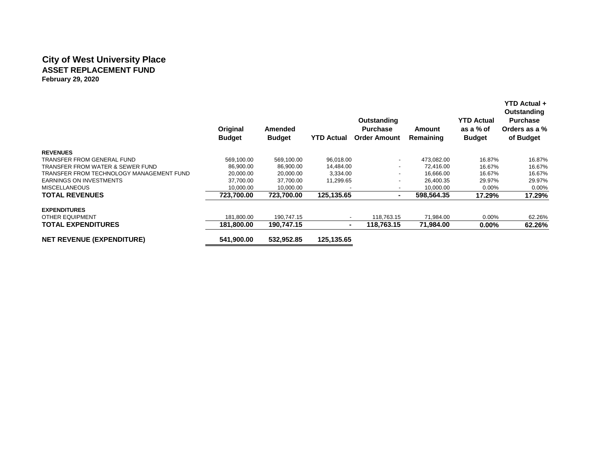## **City of West University Place ASSET REPLACEMENT FUND February 29, 2020**

|                                          | Original<br><b>Budget</b> | Amended<br><b>Budget</b> | <b>YTD Actual</b> | Outstanding<br><b>Purchase</b><br><b>Order Amount</b> | Amount<br>Remaining | <b>YTD Actual</b><br>as a % of<br><b>Budget</b> | <b>YTD Actual +</b><br>Outstanding<br><b>Purchase</b><br>Orders as a %<br>of Budget |
|------------------------------------------|---------------------------|--------------------------|-------------------|-------------------------------------------------------|---------------------|-------------------------------------------------|-------------------------------------------------------------------------------------|
| <b>REVENUES</b>                          |                           |                          |                   |                                                       |                     |                                                 |                                                                                     |
| TRANSFER FROM GENERAL FUND               | 569.100.00                | 569,100.00               | 96,018.00         | $\blacksquare$                                        | 473.082.00          | 16.87%                                          | 16.87%                                                                              |
| TRANSFER FROM WATER & SEWER FUND         | 86,900.00                 | 86,900.00                | 14,484.00         | ٠                                                     | 72,416.00           | 16.67%                                          | 16.67%                                                                              |
| TRANSFER FROM TECHNOLOGY MANAGEMENT FUND | 20,000.00                 | 20,000.00                | 3,334.00          | $\overline{\phantom{a}}$                              | 16.666.00           | 16.67%                                          | 16.67%                                                                              |
| <b>EARNINGS ON INVESTMENTS</b>           | 37,700.00                 | 37,700.00                | 11,299.65         |                                                       | 26.400.35           | 29.97%                                          | 29.97%                                                                              |
| <b>MISCELLANEOUS</b>                     | 10,000.00                 | 10,000.00                |                   | $\overline{\phantom{a}}$                              | 10,000.00           | $0.00\%$                                        | $0.00\%$                                                                            |
| <b>TOTAL REVENUES</b>                    | 723,700.00                | 723.700.00               | 125,135.65        | $\overline{\phantom{0}}$                              | 598,564.35          | 17.29%                                          | 17.29%                                                                              |
| <b>EXPENDITURES</b>                      |                           |                          |                   |                                                       |                     |                                                 |                                                                                     |
| <b>OTHER EQUIPMENT</b>                   | 181,800.00                | 190,747.15               |                   | 118,763.15                                            | 71,984.00           | $0.00\%$                                        | 62.26%                                                                              |
| <b>TOTAL EXPENDITURES</b>                | 181,800.00                | 190,747.15               | ۰                 | 118,763.15                                            | 71,984.00           | $0.00\%$                                        | 62.26%                                                                              |
| <b>NET REVENUE (EXPENDITURE)</b>         | 541,900.00                | 532,952.85               | 125,135.65        |                                                       |                     |                                                 |                                                                                     |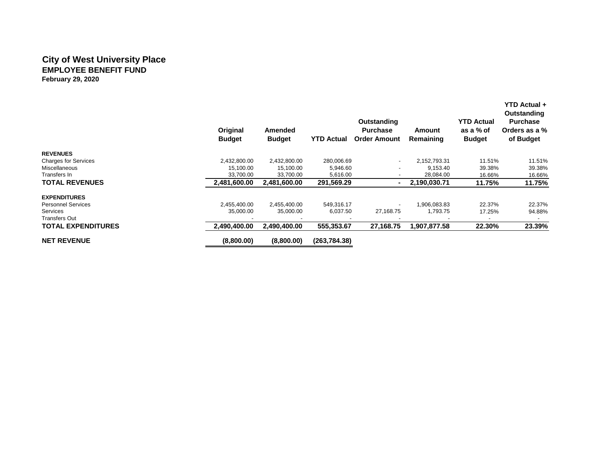### **City of West University Place EMPLOYEE BENEFIT FUND February 29, 2020**

|                             | Original<br><b>Budget</b> | Amended<br><b>Budget</b> | YTD Actual    | Outstanding<br><b>Purchase</b><br><b>Order Amount</b> | Amount<br>Remaining | <b>YTD Actual</b><br>as a % of<br><b>Budget</b> | YTD Actual +<br>Outstanding<br><b>Purchase</b><br>Orders as a %<br>of Budget |
|-----------------------------|---------------------------|--------------------------|---------------|-------------------------------------------------------|---------------------|-------------------------------------------------|------------------------------------------------------------------------------|
| <b>REVENUES</b>             |                           |                          |               |                                                       |                     |                                                 |                                                                              |
| <b>Charges for Services</b> | 2,432,800.00              | 2,432,800.00             | 280,006.69    | $\overline{\phantom{a}}$                              | 2,152,793.31        | 11.51%                                          | 11.51%                                                                       |
| Miscellaneous               | 15,100.00                 | 15,100.00                | 5,946.60      |                                                       | 9,153.40            | 39.38%                                          | 39.38%                                                                       |
| Transfers In                | 33.700.00                 | 33,700.00                | 5,616.00      | -                                                     | 28,084.00           | 16.66%                                          | 16.66%                                                                       |
| <b>TOTAL REVENUES</b>       | 2,481,600.00              | 2,481,600.00             | 291,569.29    |                                                       | 2,190,030.71        | 11.75%                                          | 11.75%                                                                       |
| <b>EXPENDITURES</b>         |                           |                          |               |                                                       |                     |                                                 |                                                                              |
| <b>Personnel Services</b>   | 2,455,400.00              | 2,455,400.00             | 549,316.17    |                                                       | 1,906,083.83        | 22.37%                                          | 22.37%                                                                       |
| Services                    | 35,000.00                 | 35,000.00                | 6,037.50      | 27,168.75                                             | 1,793.75            | 17.25%                                          | 94.88%                                                                       |
| <b>Transfers Out</b>        |                           |                          |               |                                                       |                     |                                                 |                                                                              |
| <b>TOTAL EXPENDITURES</b>   | 2,490,400.00              | 2,490,400.00             | 555,353.67    | 27,168.75                                             | 1,907,877.58        | 22.30%                                          | 23.39%                                                                       |
| <b>NET REVENUE</b>          | (8,800.00)                | (8,800.00)               | (263, 784.38) |                                                       |                     |                                                 |                                                                              |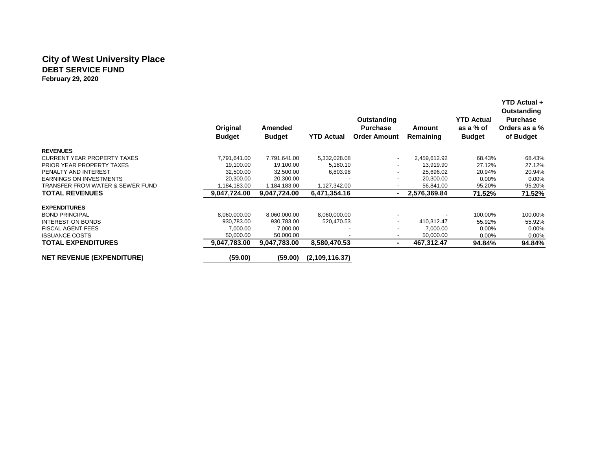### **City of West University Place DEBT SERVICE FUND February 29, 2020**

|                                    | Original<br><b>Budget</b> | Amended<br><b>Budget</b> | <b>YTD Actual</b> | Outstanding<br><b>Purchase</b><br><b>Order Amount</b> | Amount<br>Remaining | <b>YTD Actual</b><br>as a % of<br><b>Budget</b> | Outstanding<br><b>Purchase</b><br>Orders as a %<br>of Budget |
|------------------------------------|---------------------------|--------------------------|-------------------|-------------------------------------------------------|---------------------|-------------------------------------------------|--------------------------------------------------------------|
| <b>REVENUES</b>                    |                           |                          |                   |                                                       |                     |                                                 |                                                              |
| <b>CURRENT YEAR PROPERTY TAXES</b> | 7,791,641.00              | 7,791,641.00             | 5,332,028.08      |                                                       | 2,459,612.92        | 68.43%                                          | 68.43%                                                       |
| <b>PRIOR YEAR PROPERTY TAXES</b>   | 19,100.00                 | 19,100.00                | 5,180.10          |                                                       | 13,919.90           | 27.12%                                          | 27.12%                                                       |
| PENALTY AND INTEREST               | 32,500.00                 | 32,500.00                | 6,803.98          |                                                       | 25,696.02           | 20.94%                                          | 20.94%                                                       |
| <b>EARNINGS ON INVESTMENTS</b>     | 20,300.00                 | 20,300.00                |                   |                                                       | 20,300.00           | $0.00\%$                                        | 0.00%                                                        |
| TRANSFER FROM WATER & SEWER FUND   | 1,184,183.00              | 1,184,183.00             | 1,127,342.00      |                                                       | 56,841.00           | 95.20%                                          | 95.20%                                                       |
| <b>TOTAL REVENUES</b>              | 9,047,724.00              | 9,047,724.00             | 6,471,354.16      |                                                       | 2,576,369.84        | 71.52%                                          | 71.52%                                                       |
| <b>EXPENDITURES</b>                |                           |                          |                   |                                                       |                     |                                                 |                                                              |
| <b>BOND PRINCIPAL</b>              | 8,060,000.00              | 8,060,000.00             | 8,060,000.00      |                                                       |                     | 100.00%                                         | 100.00%                                                      |
| <b>INTEREST ON BONDS</b>           | 930.783.00                | 930,783.00               | 520,470.53        |                                                       | 410.312.47          | 55.92%                                          | 55.92%                                                       |
| <b>FISCAL AGENT FEES</b>           | 7,000.00                  | 7,000.00                 |                   |                                                       | 7,000.00            | $0.00\%$                                        | 0.00%                                                        |
| <b>ISSUANCE COSTS</b>              | 50,000.00                 | 50,000.00                |                   |                                                       | 50,000.00           | $0.00\%$                                        | $0.00\%$                                                     |
| <b>TOTAL EXPENDITURES</b>          | 9,047,783.00              | 9,047,783.00             | 8,580,470.53      |                                                       | 467,312.47          | 94.84%                                          | 94.84%                                                       |
| <b>NET REVENUE (EXPENDITURE)</b>   | (59.00)                   | (59.00)                  | (2,109,116.37)    |                                                       |                     |                                                 |                                                              |

 **YTD Actual +**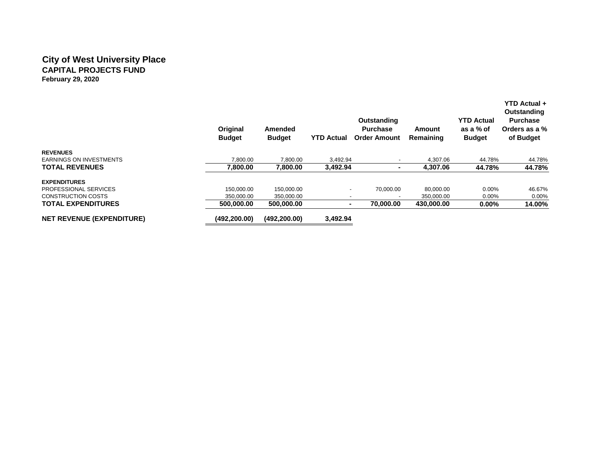### **City of West University Place CAPITAL PROJECTS FUND February 29, 2020**

|                                  | Original<br><b>Budget</b> | Amended<br><b>Budget</b> | <b>YTD Actual</b>        | Outstanding<br><b>Purchase</b><br><b>Order Amount</b> | Amount<br>Remaining | <b>YTD Actual</b><br>as a % of<br><b>Budget</b> | <b>YTD Actual +</b><br>Outstanding<br><b>Purchase</b><br>Orders as a %<br>of Budget |
|----------------------------------|---------------------------|--------------------------|--------------------------|-------------------------------------------------------|---------------------|-------------------------------------------------|-------------------------------------------------------------------------------------|
| <b>REVENUES</b>                  |                           |                          |                          |                                                       |                     |                                                 |                                                                                     |
| <b>EARNINGS ON INVESTMENTS</b>   | 7.800.00                  | 7,800.00                 | 3.492.94                 |                                                       | 4.307.06            | 44.78%                                          | 44.78%                                                                              |
| <b>TOTAL REVENUES</b>            | 7.800.00                  | 7,800.00                 | 3.492.94                 | ۰                                                     | 4.307.06            | 44.78%                                          | 44.78%                                                                              |
| <b>EXPENDITURES</b>              |                           |                          |                          |                                                       |                     |                                                 |                                                                                     |
| PROFESSIONAL SERVICES            | 150.000.00                | 150.000.00               | $\overline{\phantom{a}}$ | 70.000.00                                             | 80,000.00           | $0.00\%$                                        | 46.67%                                                                              |
| <b>CONSTRUCTION COSTS</b>        | 350,000.00                | 350,000.00               | $\overline{\phantom{a}}$ | $\overline{\phantom{0}}$                              | 350,000.00          | $0.00\%$                                        | $0.00\%$                                                                            |
| <b>TOTAL EXPENDITURES</b>        | 500,000.00                | 500.000.00               | ۰                        | 70,000,00                                             | 430,000.00          | $0.00\%$                                        | 14.00%                                                                              |
| <b>NET REVENUE (EXPENDITURE)</b> | (492,200.00)              | (492, 200.00)            | 3,492.94                 |                                                       |                     |                                                 |                                                                                     |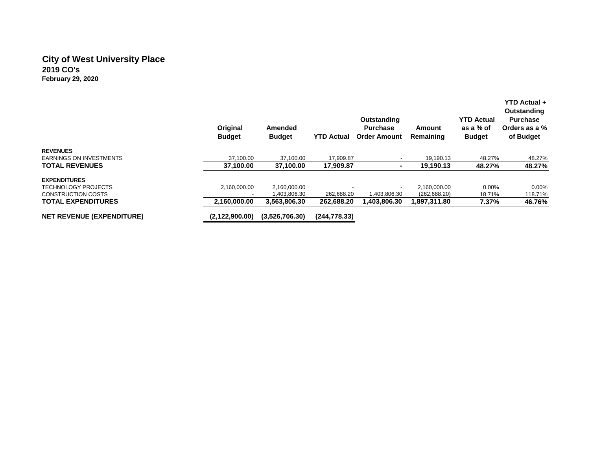### **City of West University Place 2019 CO's February 29, 2020**

|                                  | Original<br><b>Budget</b> | Amended<br><b>Budget</b> | <b>YTD Actual</b> | Outstanding<br><b>Purchase</b><br><b>Order Amount</b> | Amount<br>Remaining | <b>YTD Actual</b><br>as a % of<br><b>Budget</b> | YTD Actual +<br>Outstanding<br><b>Purchase</b><br>Orders as a %<br>of Budget |
|----------------------------------|---------------------------|--------------------------|-------------------|-------------------------------------------------------|---------------------|-------------------------------------------------|------------------------------------------------------------------------------|
| <b>REVENUES</b>                  |                           |                          |                   |                                                       |                     |                                                 |                                                                              |
| EARNINGS ON INVESTMENTS          | 37.100.00                 | 37.100.00                | 17.909.87         |                                                       | 19.190.13           | 48.27%                                          | 48.27%                                                                       |
| <b>TOTAL REVENUES</b>            | 37,100.00                 | 37,100.00                | 17,909.87         |                                                       | 19,190.13           | 48.27%                                          | 48.27%                                                                       |
| <b>EXPENDITURES</b>              |                           |                          |                   |                                                       |                     |                                                 |                                                                              |
| <b>TECHNOLOGY PROJECTS</b>       | 2.160.000.00              | 2.160.000.00             |                   |                                                       | 2.160.000.00        | $0.00\%$                                        | $0.00\%$                                                                     |
| <b>CONSTRUCTION COSTS</b>        |                           | ,403,806.30              | 262.688.20        | 1.403.806.30                                          | (262, 688.20)       | 18.71%                                          | 118.71%                                                                      |
| <b>TOTAL EXPENDITURES</b>        | 2.160.000.00              | 3.563.806.30             | 262.688.20        | 1.403.806.30                                          | 1,897,311.80        | 7.37%                                           | 46.76%                                                                       |
| <b>NET REVENUE (EXPENDITURE)</b> | (2,122,900.00)            | (3.526.706.30)           | (244, 778.33)     |                                                       |                     |                                                 |                                                                              |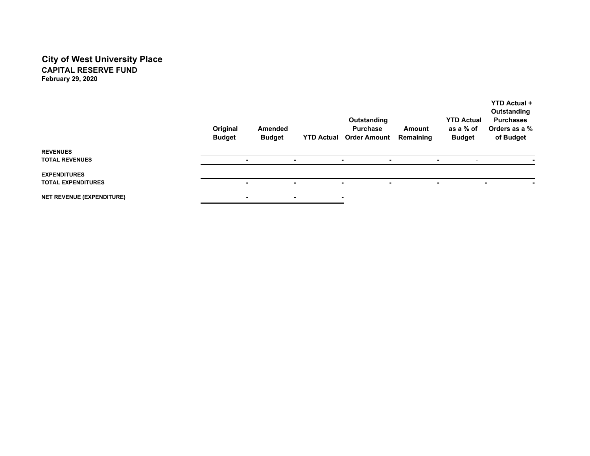### **City of West University Place CAPITAL RESERVE FUNDFebruary 29, 2020**

|                                                  | Original<br><b>Budget</b> |                          | Amended<br><b>Budget</b> |   | Outstanding<br><b>Purchase</b><br><b>YTD Actual Order Amount</b> | Amount<br>Remaining | <b>YTD Actual</b><br>as a % of<br><b>Budget</b> | <b>YTD Actual +</b><br>Outstanding<br><b>Purchases</b><br>Orders as a %<br>of Budget |
|--------------------------------------------------|---------------------------|--------------------------|--------------------------|---|------------------------------------------------------------------|---------------------|-------------------------------------------------|--------------------------------------------------------------------------------------|
| <b>REVENUES</b><br><b>TOTAL REVENUES</b>         |                           | $\overline{\phantom{a}}$ |                          | ۰ | ۰<br>$\blacksquare$                                              |                     | ۰.<br>$\sim$                                    |                                                                                      |
| <b>EXPENDITURES</b><br><b>TOTAL EXPENDITURES</b> |                           |                          |                          |   |                                                                  |                     | ۰                                               |                                                                                      |
| <b>NET REVENUE (EXPENDITURE)</b>                 |                           | $\blacksquare$           |                          | ۰ | ٠                                                                |                     |                                                 |                                                                                      |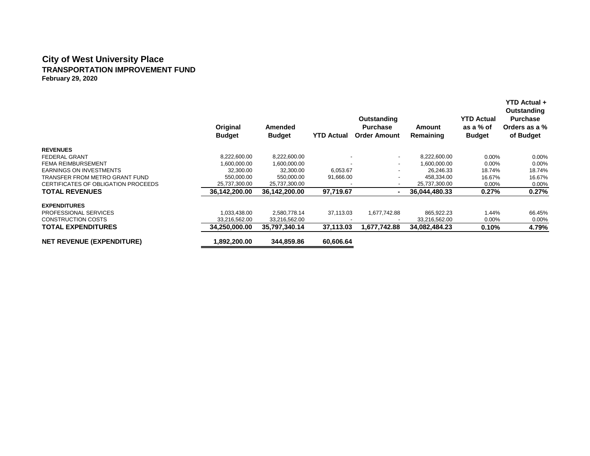#### **City of West University Place TRANSPORTATION IMPROVEMENT FUND February 29, 2020**

|                                     | Original<br><b>Budget</b> | Amended<br><b>Budget</b> | YTD Actual | Outstanding<br><b>Purchase</b><br><b>Order Amount</b> | Amount<br>Remaining | <b>YTD Actual</b><br>as a % of<br><b>Budget</b> | <b>YTD Actual +</b><br>Outstanding<br><b>Purchase</b><br>Orders as a %<br>of Budget |
|-------------------------------------|---------------------------|--------------------------|------------|-------------------------------------------------------|---------------------|-------------------------------------------------|-------------------------------------------------------------------------------------|
| <b>REVENUES</b>                     |                           |                          |            |                                                       |                     |                                                 |                                                                                     |
| <b>FEDERAL GRANT</b>                | 8,222,600.00              | 8,222,600.00             |            | $\overline{\phantom{a}}$                              | 8,222,600.00        | $0.00\%$                                        | $0.00\%$                                                                            |
| <b>FEMA REIMBURSEMENT</b>           | 1.600.000.00              | 1,600,000.00             |            | $\overline{\phantom{a}}$                              | 1,600,000.00        | 0.00%                                           | $0.00\%$                                                                            |
| <b>EARNINGS ON INVESTMENTS</b>      | 32,300.00                 | 32,300.00                | 6,053.67   |                                                       | 26,246.33           | 18.74%                                          | 18.74%                                                                              |
| TRANSFER FROM METRO GRANT FUND      | 550,000.00                | 550,000.00               | 91,666.00  |                                                       | 458,334.00          | 16.67%                                          | 16.67%                                                                              |
| CERTIFICATES OF OBLIGATION PROCEEDS | 25,737,300.00             | 25,737,300.00            |            |                                                       | 25,737,300.00       | 0.00%                                           | 0.00%                                                                               |
| <b>TOTAL REVENUES</b>               | 36,142,200.00             | 36,142,200.00            | 97,719.67  | $\blacksquare$                                        | 36,044,480.33       | 0.27%                                           | 0.27%                                                                               |
| <b>EXPENDITURES</b>                 |                           |                          |            |                                                       |                     |                                                 |                                                                                     |
| PROFESSIONAL SERVICES               | 1,033,438.00              | 2,580,778.14             | 37,113.03  | 1,677,742.88                                          | 865,922.23          | 1.44%                                           | 66.45%                                                                              |
| <b>CONSTRUCTION COSTS</b>           | 33,216,562.00             | 33,216,562.00            |            |                                                       | 33,216,562.00       | 0.00%                                           | $0.00\%$                                                                            |
| <b>TOTAL EXPENDITURES</b>           | 34,250,000.00             | 35,797,340.14            | 37,113.03  | 1,677,742.88                                          | 34,082,484.23       | 0.10%                                           | 4.79%                                                                               |
| <b>NET REVENUE (EXPENDITURE)</b>    | 1,892,200.00              | 344,859.86               | 60,606.64  |                                                       |                     |                                                 |                                                                                     |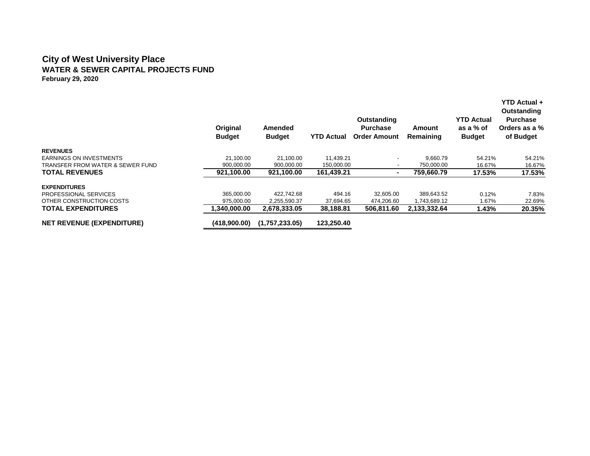#### **City of West University Place WATER & SEWER CAPITAL PROJECTS FUND February 29, 2020**

|                                  | Original<br><b>Budget</b> | Amended<br><b>Budget</b> | <b>YTD Actual</b> | Outstanding<br><b>Purchase</b><br><b>Order Amount</b> | Amount<br>Remaining | <b>YTD Actual</b><br>as a % of<br><b>Budget</b> | YTD Actual +<br>Outstanding<br><b>Purchase</b><br>Orders as a %<br>of Budget |
|----------------------------------|---------------------------|--------------------------|-------------------|-------------------------------------------------------|---------------------|-------------------------------------------------|------------------------------------------------------------------------------|
| <b>REVENUES</b>                  |                           |                          |                   |                                                       |                     |                                                 |                                                                              |
| <b>EARNINGS ON INVESTMENTS</b>   | 21.100.00                 | 21.100.00                | 11,439.21         |                                                       | 9.660.79            | 54.21%                                          | 54.21%                                                                       |
| TRANSFER FROM WATER & SEWER FUND | 900.000.00                | 900.000.00               | 150,000.00        |                                                       | 750,000.00          | 16.67%                                          | 16.67%                                                                       |
| <b>TOTAL REVENUES</b>            | 921,100.00                | 921,100.00               | 161,439.21        | $\blacksquare$                                        | 759.660.79          | 17.53%                                          | 17.53%                                                                       |
| <b>EXPENDITURES</b>              |                           |                          |                   |                                                       |                     |                                                 |                                                                              |
| <b>PROFESSIONAL SERVICES</b>     | 365.000.00                | 422.742.68               | 494.16            | 32.605.00                                             | 389.643.52          | 0.12%                                           | 7.83%                                                                        |
| OTHER CONSTRUCTION COSTS         | 975,000.00                | 2,255,590.37             | 37,694.65         | 474,206.60                                            | 1,743,689.12        | 1.67%                                           | 22.69%                                                                       |
| <b>TOTAL EXPENDITURES</b>        | ,340,000.00               | 2,678,333.05             | 38,188.81         | 506,811.60                                            | 2,133,332.64        | 1.43%                                           | 20.35%                                                                       |
| <b>NET REVENUE (EXPENDITURE)</b> | (418,900.00)              | (1,757,233.05)           | 123,250.40        |                                                       |                     |                                                 |                                                                              |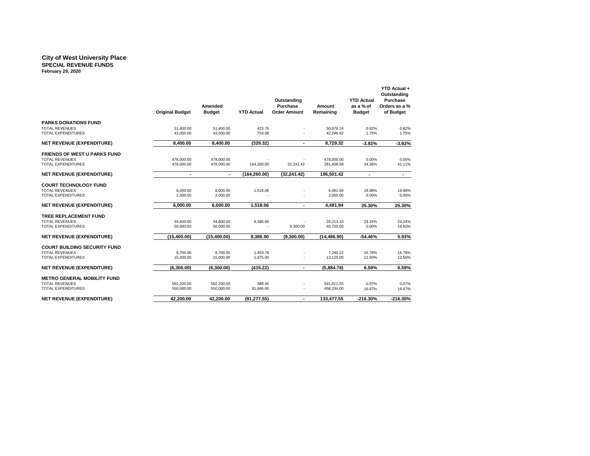#### **City of West University Place SPECIAL REVENUE FUNDS February 29, 2020**

|                                                                                           | <b>Original Budget</b>   | Amended<br><b>Budget</b> | <b>YTD Actual</b>    | Outstanding<br><b>Purchase</b><br><b>Order Amount</b> | Amount<br>Remaining      | <b>YTD Actual</b><br>as a % of<br><b>Budget</b> | YTD Actual +<br>Outstanding<br><b>Purchase</b><br>Orders as a %<br>of Budget |
|-------------------------------------------------------------------------------------------|--------------------------|--------------------------|----------------------|-------------------------------------------------------|--------------------------|-------------------------------------------------|------------------------------------------------------------------------------|
| <b>PARKS DONATIONS FUND</b><br><b>TOTAL REVENUES</b><br><b>TOTAL EXPENDITURES</b>         | 51.400.00<br>43,000.00   | 51.400.00<br>43,000.00   | 423.76<br>753.08     |                                                       | 50.976.24<br>42,246.92   | 0.82%<br>1.75%                                  | 0.82%<br>1.75%                                                               |
| <b>NET REVENUE (EXPENDITURE)</b>                                                          | 8.400.00                 | 8.400.00                 | (329.32)             | $\blacksquare$                                        | 8,729.32                 | $-3.92%$                                        | $-3.92%$                                                                     |
| <b>FRIENDS OF WEST U PARKS FUND</b><br><b>TOTAL REVENUES</b><br>TOTAL EXPENDITURES        | 478,000.00<br>478,000.00 | 478.000.00<br>478,000.00 | 164,260.00           | 32,241.42                                             | 478,000.00<br>281,498.58 | 0.00%<br>34.36%                                 | 0.00%<br>41.11%                                                              |
| <b>NET REVENUE (EXPENDITURE)</b>                                                          | ٠                        | $\sim$                   | (164, 260.00)        | (32, 241.42)                                          | 196,501.42               | $\blacksquare$                                  | $\sim$                                                                       |
| <b>COURT TECHNOLOGY FUND</b><br><b>TOTAL REVENUES</b><br><b>TOTAL EXPENDITURES</b>        | 8,000.00<br>2,000.00     | 8,000.00<br>2.000.00     | 1,518.06             |                                                       | 6,481.94<br>2,000.00     | 18.98%<br>0.00%                                 | 18.98%<br>0.00%                                                              |
| <b>NET REVENUE (EXPENDITURE)</b>                                                          | 6,000.00                 | 6.000.00                 | 1.518.06             | ٠                                                     | 4,481.94                 | 25.30%                                          | 25.30%                                                                       |
| TREE REPLACEMENT FUND<br>TOTAL REVENUES<br><b>TOTAL EXPENDITURES</b>                      | 34,600.00<br>50.000.00   | 34,600.00<br>50,000.00   | 8,386.90             | 9.300.00                                              | 26,213.10<br>40.700.00   | 24.24%<br>0.00%                                 | 24.24%<br>18.60%                                                             |
| <b>NET REVENUE (EXPENDITURE)</b>                                                          | (15,400.00)              | (15,400.00)              | 8.386.90             | (9,300.00)                                            | (14, 486.90)             | $-54.46%$                                       | 5.93%                                                                        |
| <b>COURT BUILDING SECURITY FUND</b><br><b>TOTAL REVENUES</b><br><b>TOTAL EXPENDITURES</b> | 8,700.00<br>15,000.00    | 8,700.00<br>15,000.00    | 1,459.78<br>1,875.00 |                                                       | 7,240.22<br>13,125.00    | 16.78%<br>12.50%                                | 16.78%<br>12.50%                                                             |
| <b>NET REVENUE (EXPENDITURE)</b>                                                          | (6,300.00)               | (6.300.00)               | (415.22)             | ٠                                                     | (5,884.78)               | 6.59%                                           | 6.59%                                                                        |
| <b>METRO GENERAL MOBILITY FUND</b><br><b>TOTAL REVENUES</b><br><b>TOTAL EXPENDITURES</b>  | 592.200.00<br>550,000.00 | 592.200.00<br>550,000.00 | 388.45<br>91,666.00  |                                                       | 591.811.55<br>458,334.00 | 0.07%<br>16.67%                                 | 0.07%<br>16.67%                                                              |
| <b>NET REVENUE (EXPENDITURE)</b>                                                          | 42.200.00                | 42.200.00                | (91, 277.55)         | $\blacksquare$                                        | 133.477.55               | $-216.30%$                                      | $-216.30%$                                                                   |